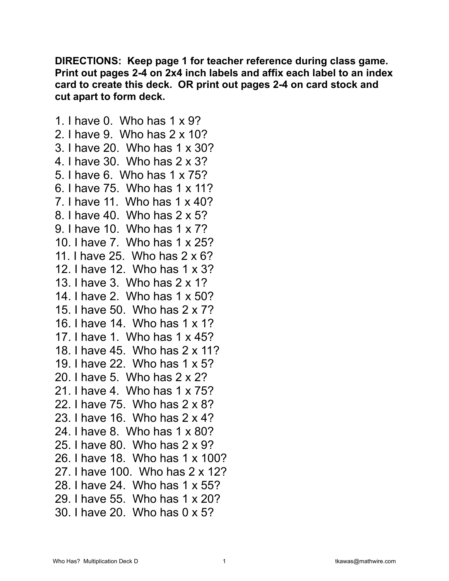**DIRECTIONS: Keep page 1 for teacher reference during class game. Print out pages 2-4 on 2x4 inch labels and affix each label to an index card to create this deck. OR print out pages 2-4 on card stock and cut apart to form deck.** 

1. I have 0. Who has 1 x 9? 2. I have 9. Who has 2 x 10? 3. I have 20. Who has 1 x 30? 4. I have 30. Who has 2 x 3? 5. I have 6. Who has 1 x 75? 6. I have 75. Who has 1 x 11? 7. I have 11. Who has 1 x 40? 8. I have 40. Who has 2 x 5? 9. I have 10. Who has 1 x 7? 10. I have 7. Who has 1 x 25? 11. I have 25. Who has 2 x 6? 12. I have 12. Who has 1 x 3? 13. I have 3. Who has 2 x 1? 14. I have 2. Who has 1 x 50? 15. I have 50. Who has 2 x 7? 16. I have 14. Who has 1 x 1? 17. I have 1. Who has 1 x 45? 18. I have 45. Who has 2 x 11? 19. I have 22. Who has 1 x 5? 20. I have 5. Who has 2 x 2? 21. I have 4. Who has 1 x 75? 22. I have 75. Who has 2 x 8? 23. I have 16. Who has 2 x 4? 24. I have 8. Who has 1 x 80? 25. I have 80. Who has 2 x 9? 26. I have 18. Who has 1 x 100? 27. I have 100. Who has 2 x 12? 28. I have 24. Who has 1 x 55? 29. I have 55. Who has 1 x 20? 30. I have 20. Who has 0 x 5?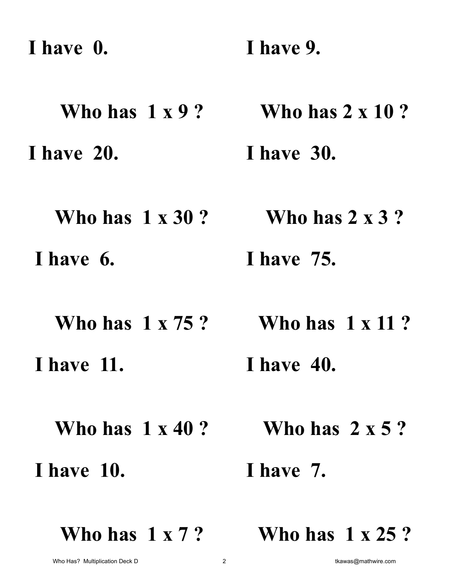**I have 0. Who has 1 x 9 ? I have 9. Who has 2 x 10 ? I have 20. Who has 1 x 30 ? I have 30. Who has 2 x 3 ? I have 6. Who has 1 x 75 ? I have 75. Who has 1 x 11 ? I have 11. Who has 1 x 40 ? I have 40. Who has 2 x 5 ? I have 10. I have 7.** 

**Who has 1 x 7 ?** 

**Who has 1 x 25 ?**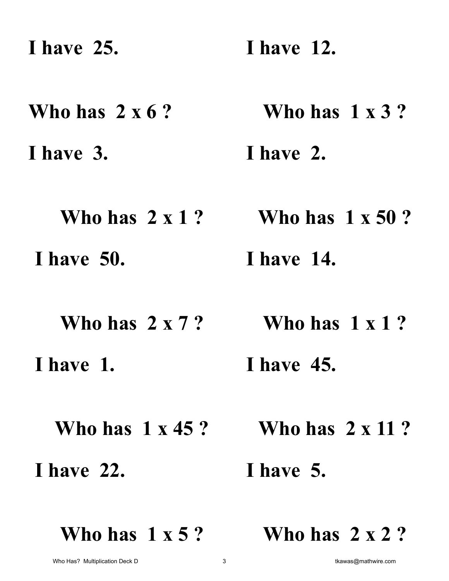**I have 25. I have 12.** 

**Who has 2 x 6 ? Who has 1 x 3 ?** 

**I have 3. I have 2.** 

**Who has 2 x 1 ? Who has 1 x 50 ? I have 50. I have 14.** 

**Who has 2 x 7 ? Who has 1 x 1 ?** 

 **I have 1. I have 45.** 

**Who has 1 x 45 ? Who has 2 x 11 ?** 

 **I have 22.** 

 **I have 5.** 

**Who has 1 x 5 ?** 

**Who has 2 x 2 ?**